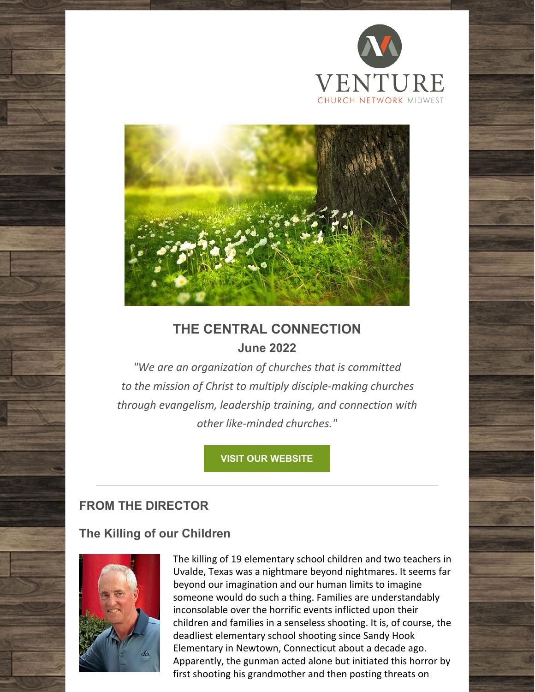



# **THE CENTRAL CONNECTION June 2022**

*"We are an organization of churches that is committed to the mission of Christ to multiply disciple-making churches through evangelism, leadership training, and connection with other like-minded churches."*

## **VISIT OUR [WEBSITE](https://www.vcnmidwest.org/)**

## **FROM THE DIRECTOR**

## **The Killing of our Children**



The killing of 19 elementary school children and two teachers in Uvalde, Texas was a nightmare beyond nightmares. It seems far beyond our imagination and our human limits to imagine someone would do such a thing. Families are understandably inconsolable over the horrific events inflicted upon their children and families in a senseless shooting. It is, of course, the deadliest elementary school shooting since Sandy Hook Elementary in Newtown, Connecticut about a decade ago. Apparently, the gunman acted alone but initiated this horror by first shooting his grandmother and then posting threats on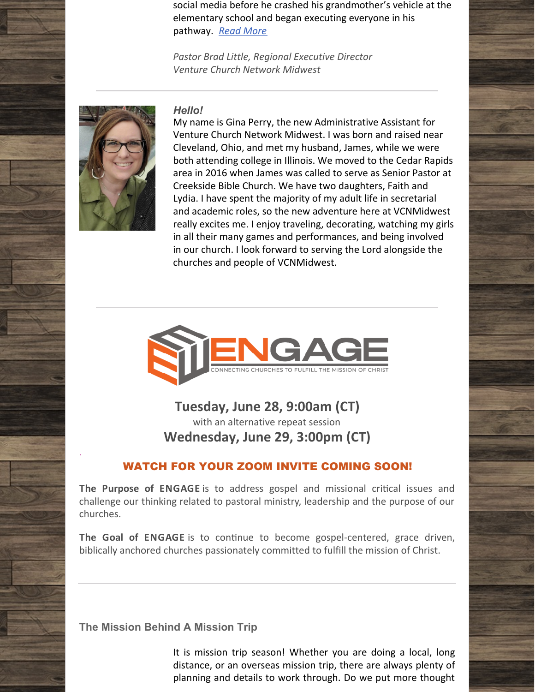social media before he crashed his grandmother's vehicle at the elementary school and began executing everyone in his pathway. *Read [More](https://files.constantcontact.com/7d332367001/975ae030-29c6-42d8-b9be-cb03356f95e7.pdf?rdr=true)*

*Pastor Brad Little, Regional Executive Director Venture Church Network Midwest*



.

*Hello!*

My name is Gina Perry, the new Administrative Assistant for Venture Church Network Midwest. I was born and raised near Cleveland, Ohio, and met my husband, James, while we were both attending college in Illinois. We moved to the Cedar Rapids area in 2016 when James was called to serve as Senior Pastor at Creekside Bible Church. We have two daughters, Faith and Lydia. I have spent the majority of my adult life in secretarial and academic roles, so the new adventure here at VCNMidwest really excites me. I enjoy traveling, decorating, watching my girls in all their many games and performances, and being involved in our church. I look forward to serving the Lord alongside the churches and people of VCNMidwest.



**Tuesday, June 28, 9:00am (CT)** with an alternative repeat session **Wednesday, June 29, 3:00pm (CT)**

## WATCH FOR YOUR ZOOM INVITE COMING SOON!

**The Purpose of ENGAGE** is to address gospel and missional critical issues and challenge our thinking related to pastoral ministry, leadership and the purpose of our churches.

**The Goal of ENGAGE** is to continue to become gospel-centered, grace driven, biblically anchored churches passionately committed to fulfill the mission of Christ.

**The Mission Behind A Mission Trip**

It is mission trip season! Whether you are doing a local, long distance, or an overseas mission trip, there are always plenty of planning and details to work through. Do we put more thought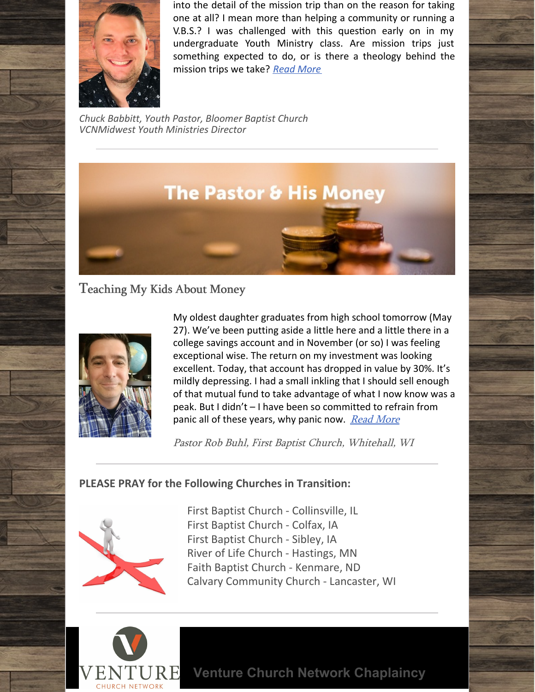

into the detail of the mission trip than on the reason for taking one at all? I mean more than helping a community or running a  $V.B.S.$ ? I was challenged with this question early on in my undergraduate Youth Ministry class. Are mission trips just something expected to do, or is there a theology behind the mission trips we take? *Read [More](https://files.constantcontact.com/7d332367001/9421b246-c4b4-4dc8-9f30-b5f127e3975b.pdf?rdr=true)*

*Chuck Babbitt, Youth Pastor, Bloomer Baptist Church VCNMidwest Youth Ministries Director*



Teaching My Kids About Money



My oldest daughter graduates from high school tomorrow (May 27). We've been putting aside a little here and a little there in a college savings account and in November (or so) I was feeling exceptional wise. The return on my investment was looking excellent. Today, that account has dropped in value by 30%. It's mildly depressing. I had a small inkling that I should sell enough of that mutual fund to take advantage of what I now know was a peak. But I didn't – I have been so committed to refrain from panic all of these years, why panic now. [Read](https://files.constantcontact.com/7d332367001/b315a2ba-380d-47e7-bb55-5f0e0fa291bd.pdf?rdr=true) More

Pastor Rob Buhl, First Baptist Church, Whitehall, WI

## **PLEASE PRAY for the Following Churches in Transition:**



First Baptist Church - Collinsville, IL First Baptist Church - Colfax, IA First Baptist Church - Sibley, IA River of Life Church - Hastings, MN Faith Baptist Church - Kenmare, ND Calvary Community Church - Lancaster, WI



**Venture Church Network Chaplaincy**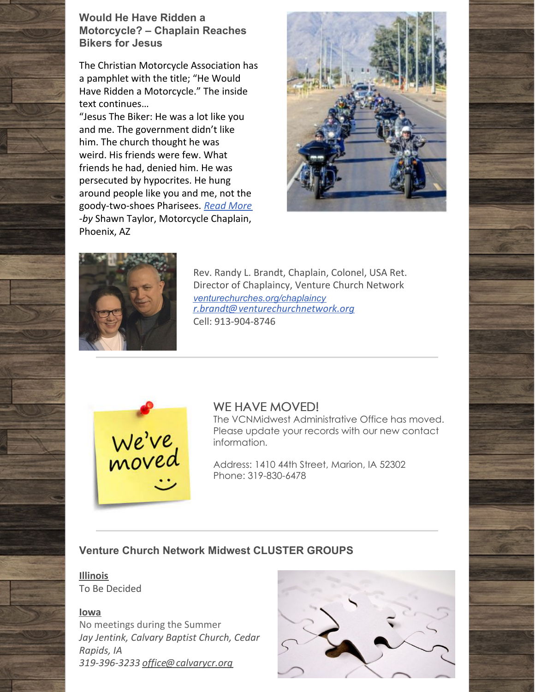

The Christian Motorcycle Association has a pamphlet with the title; "He Would Have Ridden a Motorcycle." The inside text continues…

"Jesus The Biker: He was a lot like you and me. The government didn't like him. The church thought he was weird. His friends were few. What friends he had, denied him. He was persecuted by hypocrites. He hung around people like you and me, not the goody-two-shoes Pharisees. *Read [More](https://venturechurches.org/would-he-have-ridden-a-motorcycle-chaplain-reaches-bikers-for-jesus) -by* Shawn Taylor, Motorcycle Chaplain, Phoenix, AZ





Rev. Randy L. Brandt, Chaplain, Colonel, USA Ret. Director of Chaplaincy, Venture Church Network *[venturechurches.org/chaplaincy](https://venturechurches.org/chaplaincy/) [r.brandt@venturechurchnetwork.org](mailto:r.brandt@venturechurchnetwork.org)* Cell: 913-904-8746



### WE HAVE MOVED!

The VCNMidwest Administrative Office has moved. Please update your records with our new contact information.

Address: 1410 44th Street, Marion, IA 52302 Phone: 319-830-6478

### **Venture Church Network Midwest CLUSTER GROUPS**

**Illinois** To Be Decided

#### **Iowa**

No meetings during the Summer *Jay Jentink, Calvary Baptist Church, Cedar Rapids, IA 319-396-3233 [office@calvarycr.org](mailto:office@calvarycr.org)*

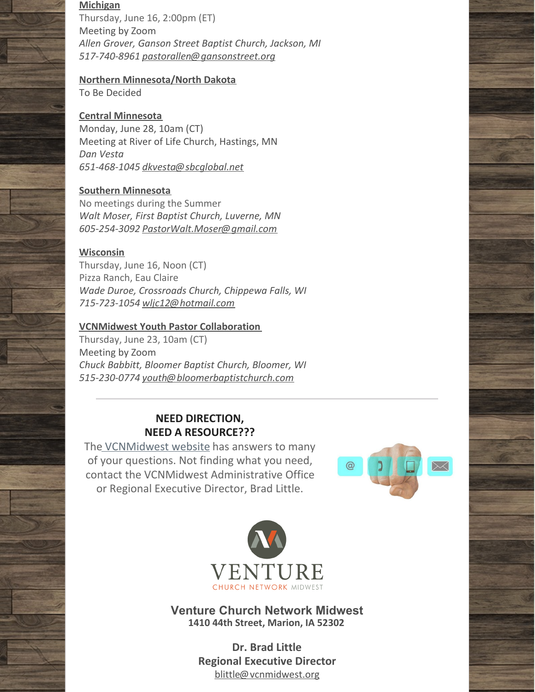#### **Michigan**

Thursday, June 16, 2:00pm (ET) Meeting by Zoom *Allen Grover, Ganson Street Baptist Church, Jackson, MI 517-740-8961 [pastorallen@gansonstreet.org](mailto:pastorallen@gansonstreet.org)*

## **Northern Minnesota/North Dakota**

To Be Decided

### **Central Minnesota**

Monday, June 28, 10am (CT) Meeting at River of Life Church, Hastings, MN *Dan Vesta 651-468-1045 [dkvesta@sbcglobal.net](mailto:dkvesta@sbcglobal.net)*

### **Southern Minnesota**

No meetings during the Summer *Walt Moser, First Baptist Church, Luverne, MN 605-254-3092 [PastorWalt.Moser@gmail.com](mailto:PastorWalt.Moser@gmail.com)*

### **Wisconsin**

Thursday, June 16, Noon (CT) Pizza Ranch, Eau Claire *Wade Duroe, Crossroads Church, Chippewa Falls, WI 715-723-1054 [wljc12@hotmail.com](mailto:wljc12@hotmail.com)*

### **VCNMidwest Youth Pastor Collaboration**

Thursday, June 23, 10am (CT) Meeting by Zoom *Chuck Babbitt, Bloomer Baptist Church, Bloomer, WI 515-230-0774 youth@bloomerbaptistchurch.com*

## **NEED DIRECTION, NEED A RESOURCE???**

Th[e](https://www.vcnmidwest.org) [VCNMidwest](http://www.vcnmidwest.org) website has answers to many of your questions. Not finding what you need, contact the VCNMidwest Administrative Office or Regional Executive Director, Brad Little.





**Venture Church Network Midwest 1410 44th Street, Marion, IA 52302**

> **Dr. Brad Little Regional Executive Director** [blittle@vcnmidwest.org](mailto:blittle@cbnorthcentral.org)